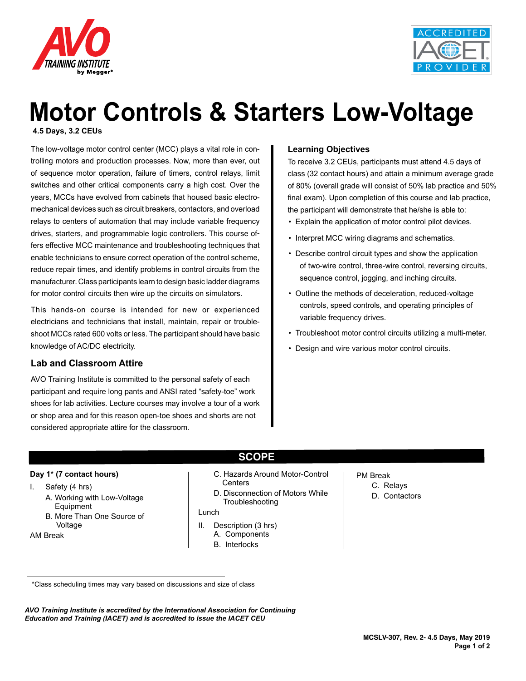



# **Motor Controls & Starters Low-Voltage**

**4.5 Days, 3.2 CEUs**

The low-voltage motor control center (MCC) plays a vital role in controlling motors and production processes. Now, more than ever, out of sequence motor operation, failure of timers, control relays, limit switches and other critical components carry a high cost. Over the years, MCCs have evolved from cabinets that housed basic electromechanical devices such as circuit breakers, contactors, and overload relays to centers of automation that may include variable frequency drives, starters, and programmable logic controllers. This course offers effective MCC maintenance and troubleshooting techniques that enable technicians to ensure correct operation of the control scheme, reduce repair times, and identify problems in control circuits from the manufacturer. Class participants learn to design basic ladder diagrams for motor control circuits then wire up the circuits on simulators.

This hands-on course is intended for new or experienced electricians and technicians that install, maintain, repair or troubleshoot MCCs rated 600 volts or less. The participant should have basic knowledge of AC/DC electricity.

#### **Lab and Classroom Attire**

AVO Training Institute is committed to the personal safety of each participant and require long pants and ANSI rated "safety-toe" work shoes for lab activities. Lecture courses may involve a tour of a work or shop area and for this reason open-toe shoes and shorts are not considered appropriate attire for the classroom.

#### **Learning Objectives**

To receive 3.2 CEUs, participants must attend 4.5 days of class (32 contact hours) and attain a minimum average grade of 80% (overall grade will consist of 50% lab practice and 50% final exam). Upon completion of this course and lab practice, the participant will demonstrate that he/she is able to:

- Explain the application of motor control pilot devices.
- Interpret MCC wiring diagrams and schematics.
- Describe control circuit types and show the application of two-wire control, three-wire control, reversing circuits, sequence control, jogging, and inching circuits.
- Outline the methods of deceleration, reduced-voltage controls, speed controls, and operating principles of variable frequency drives.
- Troubleshoot motor control circuits utilizing a multi-meter.
- Design and wire various motor control circuits.

#### **Day 1\* (7 contact hours)**

- I. Safety (4 hrs)
	- A. Working with Low-Voltage Equipment
	- B. More Than One Source of Voltage

AM Break

- **SCOPE**
- C. Hazards Around Motor-Control **Centers**
- D. Disconnection of Motors While Troubleshooting

#### Lunch

- II. Description (3 hrs) A. Components
	- B. Interlocks
- PM Break
	- C. Relays
	- D. Contactors

*AVO Training Institute is accredited by the International Association for Continuing Education and Training (IACET) and is accredited to issue the IACET CEU*

<sup>\*</sup>Class scheduling times may vary based on discussions and size of class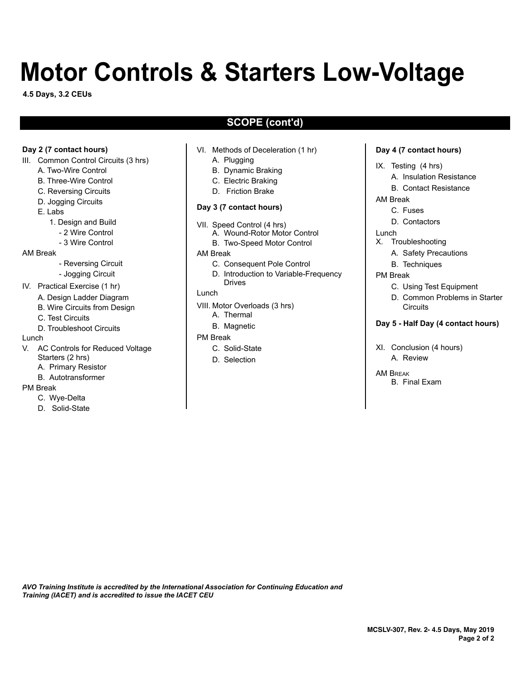# **Motor Controls & Starters Low-Voltage**

**4.5 Days, 3.2 CEUs**

# **SCOPE (cont'd)**

#### **Day 2 (7 contact hours)**

- III. Common Control Circuits (3 hrs)
	- A. Two-Wire Control
	- B. Three-Wire Control
	- C. Reversing Circuits
	- D. Jogging Circuits
	- E. Labs
		- 1. Design and Build
			- 2 Wire Control
			- 3 Wire Control

#### AM Break

- Reversing Circuit
- Jogging Circuit
- IV. Practical Exercise (1 hr)
	- A. Design Ladder Diagram
	- B. Wire Circuits from Design
	- C. Test Circuits
	- D. Troubleshoot Circuits

#### Lunch

- V. AC Controls for Reduced Voltage Starters (2 hrs) A. Primary Resistor
	- B. Autotransformer
- PM Break
	- C. Wye-Delta
	- D. Solid-State
- VI. Methods of Deceleration (1 hr)
	- A. Plugging
	- B. Dynamic Braking
	- C. Electric Braking
	- D. Friction Brake

#### **Day 3 (7 contact hours)**

- VII. Speed Control (4 hrs) A. Wound-Rotor Motor Control
	- B. Two-Speed Motor Control
- AM Break
	- C. Consequent Pole Control
	- D. Introduction to Variable-Frequency Drives
- Lunch
	-
- VIII. Motor Overloads (3 hrs)
	- A. Thermal
	- B. Magnetic
- PM Break
	- C. Solid-State
	- D. Selection

#### **Day 4 (7 contact hours)**

- IX. Testing (4 hrs)
	- A. Insulation Resistance
	- B. Contact Resistance
- AM Break
	- C. Fuses
	- D. Contactors
- Lunch
- X. Troubleshooting
	- A. Safety Precautions
	- B. Techniques
- PM Break
	- C. Using Test Equipment
	- D. Common Problems in Starter **Circuits**

#### **Day 5 - Half Day (4 contact hours)**

- XI. Conclusion (4 hours) A. Review
- AM Break B. Final Exam

*AVO Training Institute is accredited by the International Association for Continuing Education and Training (IACET) and is accredited to issue the IACET CEU*